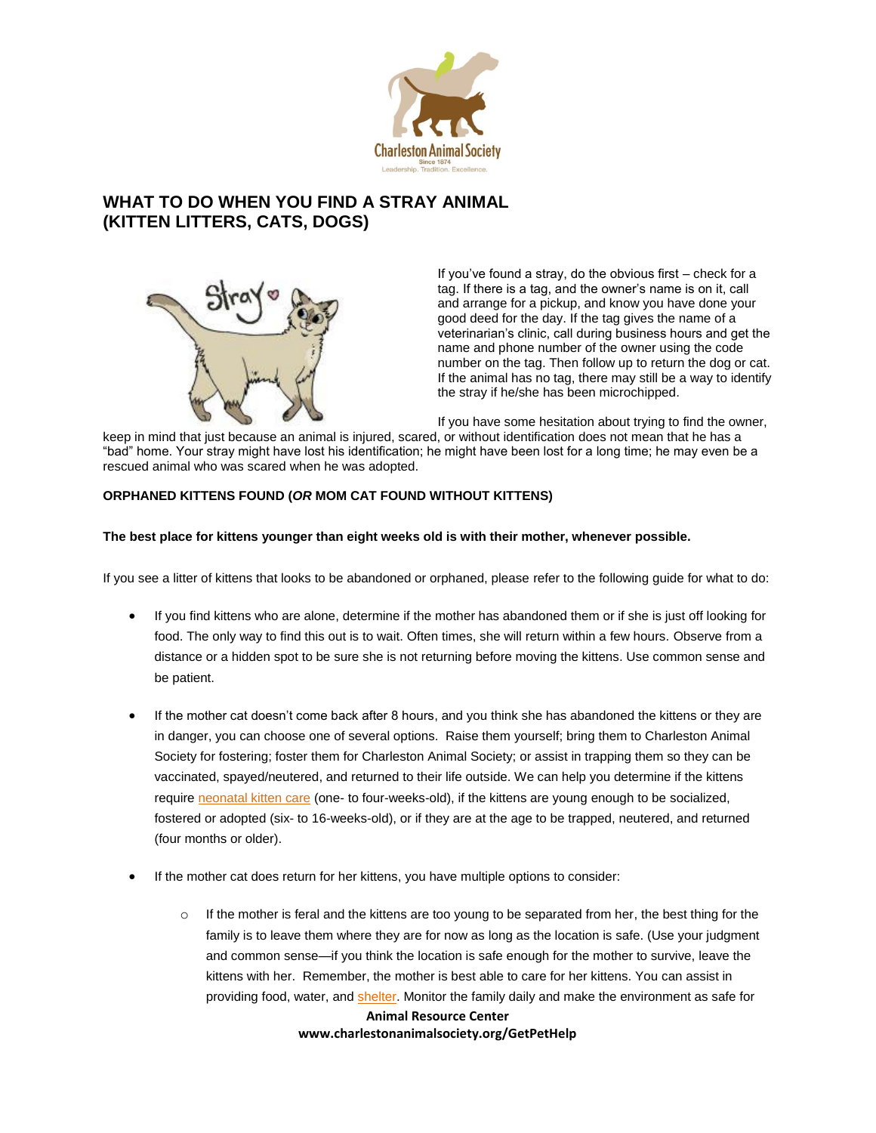

# **WHAT TO DO WHEN YOU FIND A STRAY ANIMAL (KITTEN LITTERS, CATS, DOGS)**



If you've found a stray, do the obvious first – check for a tag. If there is a tag, and the owner's name is on it, call and arrange for a pickup, and know you have done your good deed for the day. If the tag gives the name of a veterinarian's clinic, call during business hours and get the name and phone number of the owner using the code number on the tag. Then follow up to return the dog or cat. If the animal has no tag, there may still be a way to identify the stray if he/she has been microchipped.

If you have some hesitation about trying to find the owner,

keep in mind that just because an animal is injured, scared, or without identification does not mean that he has a "bad" home. Your stray might have lost his identification; he might have been lost for a long time; he may even be a rescued animal who was scared when he was adopted.

## **ORPHANED KITTENS FOUND (***OR* **MOM CAT FOUND WITHOUT KITTENS)**

## **The best place for kittens younger than eight weeks old is with their mother, whenever possible.**

If you see a litter of kittens that looks to be abandoned or orphaned, please refer to the following guide for what to do:

- If you find kittens who are alone, determine if the mother has abandoned them or if she is just off looking for food. The only way to find this out is to wait. Often times, she will return within a few hours. Observe from a distance or a hidden spot to be sure she is not returning before moving the kittens. Use common sense and be patient.
- If the mother cat doesn't come back after 8 hours, and you think she has abandoned the kittens or they are in danger, you can choose one of several options. Raise them yourself; bring them to Charleston Animal Society for fostering; foster them for Charleston Animal Society; or assist in trapping them so they can be vaccinated, spayed/neutered, and returned to their life outside. We can help you determine if the kittens require [neonatal kitten care](http://www.alleycat.org/page.aspx?pid=291) (one- to four-weeks-old), if the kittens are young enough to be socialized, fostered or adopted (six- to 16-weeks-old), or if they are at the age to be trapped, neutered, and returned (four months or older).
- If the mother cat does return for her kittens, you have multiple options to consider:
	- **Animal Resource Center**  $\circ$  If the mother is feral and the kittens are too young to be separated from her, the best thing for the family is to leave them where they are for now as long as the location is safe. (Use your judgment and common sense—if you think the location is safe enough for the mother to survive, leave the kittens with her. Remember, the mother is best able to care for her kittens. You can assist in providing food, water, and [shelter.](http://www.alleycat.org/ShelterGallery) Monitor the family daily and make the environment as safe for

**www.charlestonanimalsociety.org/GetPetHelp**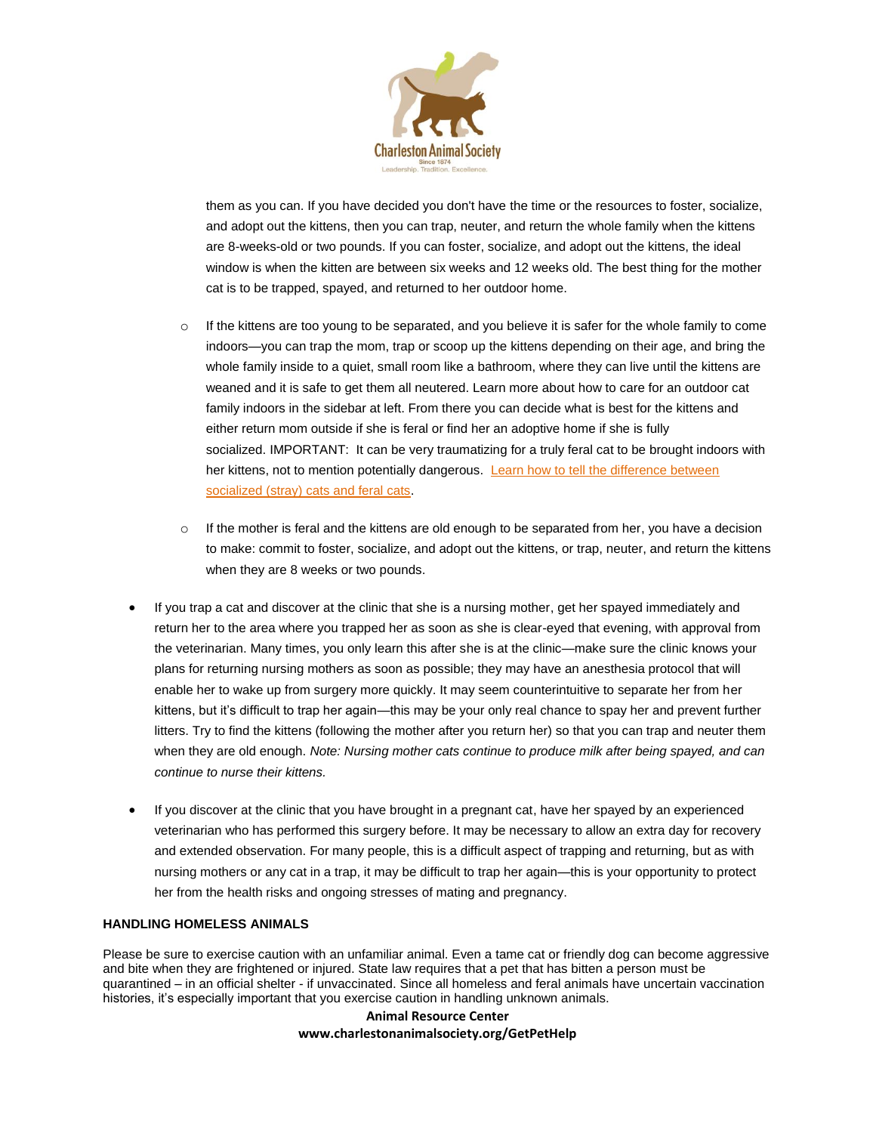

them as you can. If you have decided you don't have the time or the resources to foster, socialize, and adopt out the kittens, then you can trap, neuter, and return the whole family when the kittens are 8-weeks-old or two pounds. If you can foster, socialize, and adopt out the kittens, the ideal window is when the kitten are between six weeks and 12 weeks old. The best thing for the mother cat is to be trapped, spayed, and returned to her outdoor home.

- $\circ$  If the kittens are too young to be separated, and you believe it is safer for the whole family to come indoors—you can trap the mom, trap or scoop up the kittens depending on their age, and bring the whole family inside to a quiet, small room like a bathroom, where they can live until the kittens are weaned and it is safe to get them all neutered. Learn more about how to care for an outdoor cat family indoors in the sidebar at left. From there you can decide what is best for the kittens and either return mom outside if she is feral or find her an adoptive home if she is fully socialized. IMPORTANT: It can be very traumatizing for a truly feral cat to be brought indoors with her kittens, not to mention potentially dangerous. Learn how to tell the difference between [socialized \(stray\) cats and feral cats.](http://www.alleycat.org/page.aspx?pid=712)
- $\circ$  If the mother is feral and the kittens are old enough to be separated from her, you have a decision to make: commit to foster, socialize, and adopt out the kittens, or trap, neuter, and return the kittens when they are 8 weeks or two pounds.
- If you trap a cat and discover at the clinic that she is a nursing mother, get her spayed immediately and return her to the area where you trapped her as soon as she is clear-eyed that evening, with approval from the veterinarian. Many times, you only learn this after she is at the clinic—make sure the clinic knows your plans for returning nursing mothers as soon as possible; they may have an anesthesia protocol that will enable her to wake up from surgery more quickly. It may seem counterintuitive to separate her from her kittens, but it's difficult to trap her again—this may be your only real chance to spay her and prevent further litters. Try to find the kittens (following the mother after you return her) so that you can trap and neuter them when they are old enough. *Note: Nursing mother cats continue to produce milk after being spayed, and can continue to nurse their kittens.*
- If you discover at the clinic that you have brought in a pregnant cat, have her spayed by an experienced veterinarian who has performed this surgery before. It may be necessary to allow an extra day for recovery and extended observation. For many people, this is a difficult aspect of trapping and returning, but as with nursing mothers or any cat in a trap, it may be difficult to trap her again—this is your opportunity to protect her from the health risks and ongoing stresses of mating and pregnancy.

## **HANDLING HOMELESS ANIMALS**

Please be sure to exercise caution with an unfamiliar animal. Even a tame cat or friendly dog can become aggressive and bite when they are frightened or injured. State law requires that a pet that has bitten a person must be quarantined – in an official shelter - if unvaccinated. Since all homeless and feral animals have uncertain vaccination histories, it's especially important that you exercise caution in handling unknown animals.

# **Animal Resource Center www.charlestonanimalsociety.org/GetPetHelp**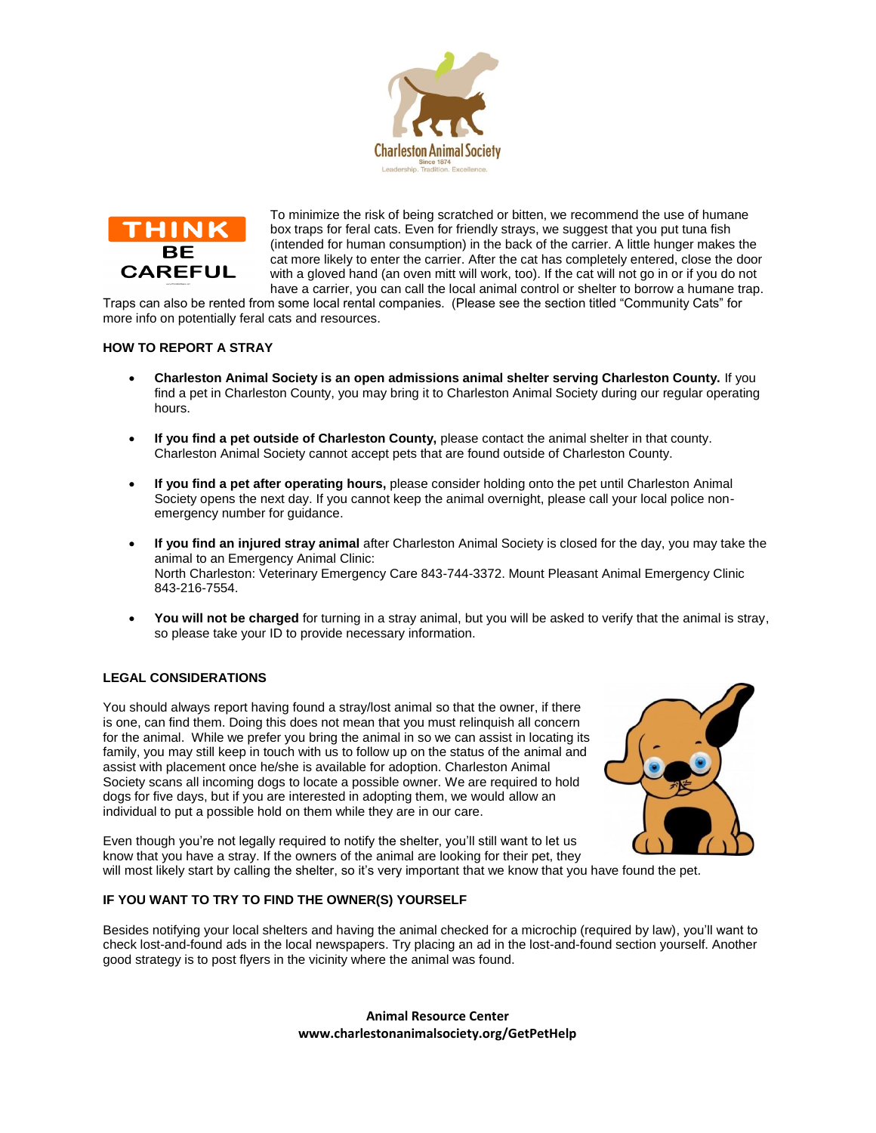



To minimize the risk of being scratched or bitten, we recommend the use of humane box traps for feral cats. Even for friendly strays, we suggest that you put tuna fish (intended for human consumption) in the back of the carrier. A little hunger makes the cat more likely to enter the carrier. After the cat has completely entered, close the door with a gloved hand (an oven mitt will work, too). If the cat will not go in or if you do not have a carrier, you can call the local animal control or shelter to borrow a humane trap.

Traps can also be rented from some local rental companies. (Please see the section titled "Community Cats" for more info on potentially feral cats and resources.

## **HOW TO REPORT A STRAY**

- **Charleston Animal Society is an open admissions animal shelter serving Charleston County.** If you find a pet in Charleston County, you may bring it to Charleston Animal Society during our regular operating hours.
- **If you find a pet outside of Charleston County,** please contact the animal shelter in that county. Charleston Animal Society cannot accept pets that are found outside of Charleston County.
- **If you find a pet after operating hours,** please consider holding onto the pet until Charleston Animal Society opens the next day. If you cannot keep the animal overnight, please call your local police nonemergency number for guidance.
- **If you find an injured stray animal** after Charleston Animal Society is closed for the day, you may take the animal to an Emergency Animal Clinic: North Charleston: Veterinary Emergency Care 843-744-3372. Mount Pleasant Animal Emergency Clinic 843-216-7554.
- **You will not be charged** for turning in a stray animal, but you will be asked to verify that the animal is stray, so please take your ID to provide necessary information.

## **LEGAL CONSIDERATIONS**

You should always report having found a stray/lost animal so that the owner, if there is one, can find them. Doing this does not mean that you must relinquish all concern for the animal. While we prefer you bring the animal in so we can assist in locating its family, you may still keep in touch with us to follow up on the status of the animal and assist with placement once he/she is available for adoption. Charleston Animal Society scans all incoming dogs to locate a possible owner. We are required to hold dogs for five days, but if you are interested in adopting them, we would allow an individual to put a possible hold on them while they are in our care.



Even though you're not legally required to notify the shelter, you'll still want to let us know that you have a stray. If the owners of the animal are looking for their pet, they

will most likely start by calling the shelter, so it's very important that we know that you have found the pet.

## **IF YOU WANT TO TRY TO FIND THE OWNER(S) YOURSELF**

Besides notifying your local shelters and having the animal checked for a microchip (required by law), you'll want to check lost-and-found ads in the local newspapers. Try placing an ad in the lost-and-found section yourself. Another good strategy is to post flyers in the vicinity where the animal was found.

> **Animal Resource Center www.charlestonanimalsociety.org/GetPetHelp**